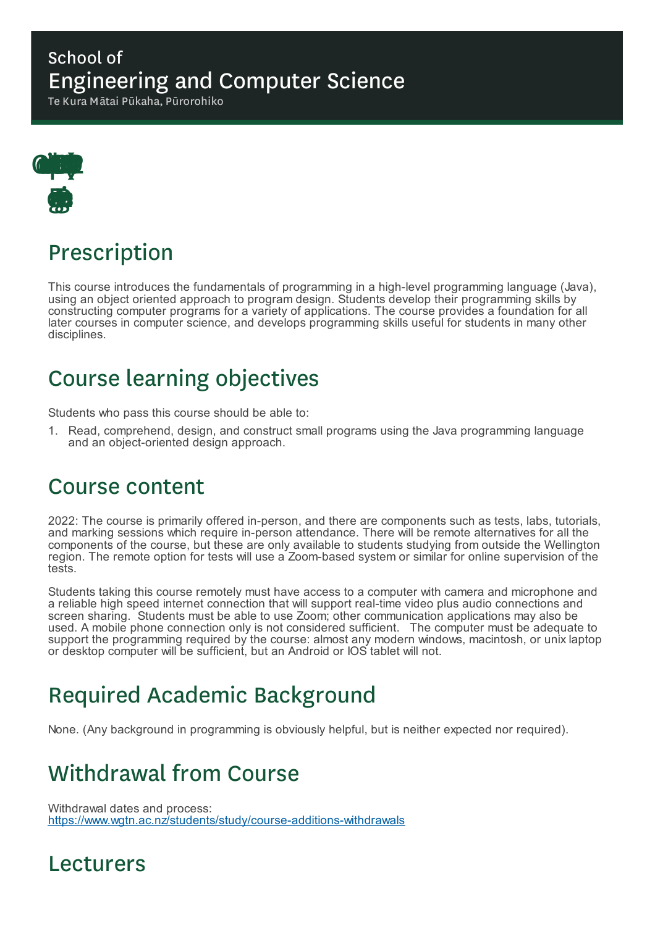#### School of Engineering and Computer Science

Te Kura Mātai Pūkaha, Pūrorohiko



# Prescription

This course introduces the fundamentals of programming in a high-level programming language (Java), using an object oriented approach to program design. Students develop their programming skills by constructing computer programs for a variety of applications. The course provides a foundation for all later courses in computer science, and develops programming skills useful for students in many other disciplines.

### Course learning objectives

Students who pass this course should be able to:

1. Read, comprehend, design, and construct small programs using the Java programming language and an object-oriented design approach.

### Course content

2022: The course is primarily offered in-person, and there are components such as tests, labs, tutorials, and marking sessions which require in-person attendance. There will be remote alternatives for all the components of the course, but these are only available to students studying from outside the Wellington region. The remote option for tests will use a Zoom-based system or similar for online supervision of the tests.

Students taking this course remotely must have access to a computer with camera and microphone and a reliable high speed internet connection that will support real-time video plus audio connections and screen sharing. Students must be able to use Zoom; other communication applications may also be used. A mobile phone connection only is not considered sufficient. The computer must be adequate to support the programming required by the course: almost any modern windows, macintosh, or unix laptop or desktop computer will be sufficient, but an Android or IOS tablet will not.

### Required Academic Background

None. (Any background in programming is obviously helpful, but is neither expected nor required).

# Withdrawal from Course

Withdrawal dates and process: https://www.wgtn.ac.nz/students/study/course-additions-withdrawals

### Lecturers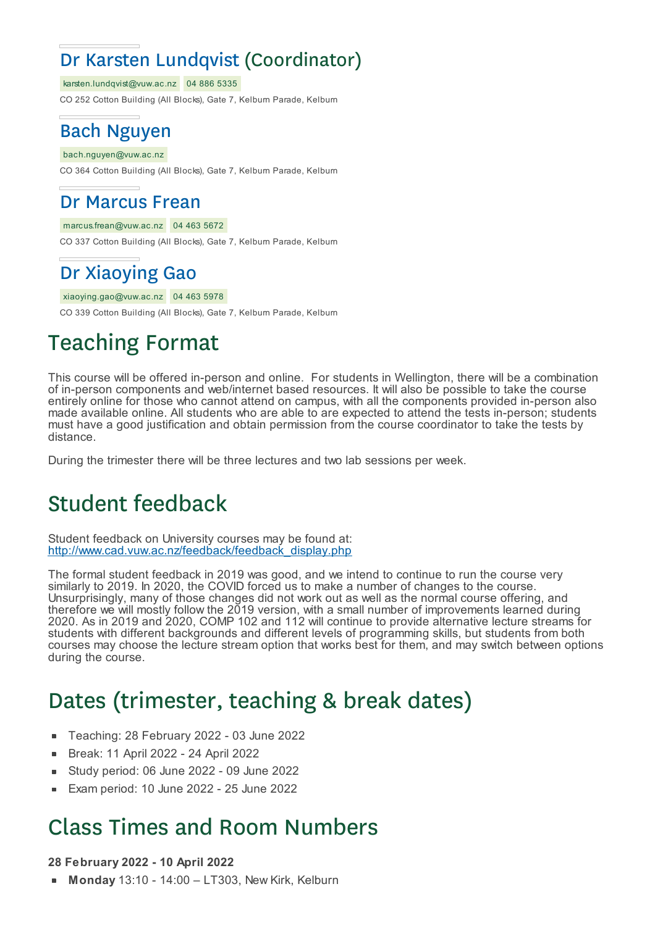### Dr Karsten Lundqvist (Coordinator)

karsten.lundqvist@vuw.ac.nz 04 886 5335

CO 252 Cotton Building (All Blocks), Gate 7, Kelburn Parade, Kelburn

#### Bach Nguyen

bach.nguyen@vuw.ac.nz

CO 364 Cotton Building (All Blocks), Gate 7, Kelburn Parade, Kelburn

#### Dr Marcus Frean

#### marcus.frean@vuw.ac.nz 04 463 5672

CO 337 Cotton Building (All Blocks), Gate 7, Kelburn Parade, Kelburn

#### Dr Xiaoying Gao

xiaoying.gao@vuw.ac.nz 04 463 5978

CO 339 Cotton Building (All Blocks), Gate 7, Kelburn Parade, Kelburn

# Teaching Format

This course will be offered in-person and online. For students in Wellington, there will be a combination of in-person components and web/internet based resources. It will also be possible to take the course entirely online for those who cannot attend on campus, with all the components provided in-person also made available online. All students who are able to are expected to attend the tests in-person; students must have a good justification and obtain permission from the course coordinator to take the tests by distance.

During the trimester there will be three lectures and two lab sessions per week.

### Student feedback

Student feedback on University courses may be found at: http://www.cad.vuw.ac.nz/feedback/feedback\_display.php

The formal student feedback in 2019 was good, and we intend to continue to run the course very similarly to 2019. In 2020, the COVID forced us to make a number of changes to the course. Unsurprisingly, many of those changes did not work out as well as the normal course offering, and therefore we will mostly follow the 2019 version, with a small number of improvements learned during 2020. As in 2019 and 2020, COMP 102 and 112 will continue to provide alternative lecture streams for students with different backgrounds and different levels of programming skills, but students from both courses may choose the lecture stream option that works best for them, and may switch between options during the course.

### Dates (trimester, teaching & break dates)

- Teaching: 28 February 2022 03 June 2022
- Break: 11 April 2022 24 April 2022
- Study period: 06 June 2022 09 June 2022
- Exam period: 10 June 2022 25 June 2022

### Class Times and Room Numbers

#### **28 February 2022 - 10 April 2022**

**Monday** 13:10 - 14:00 – LT303, New Kirk, Kelburn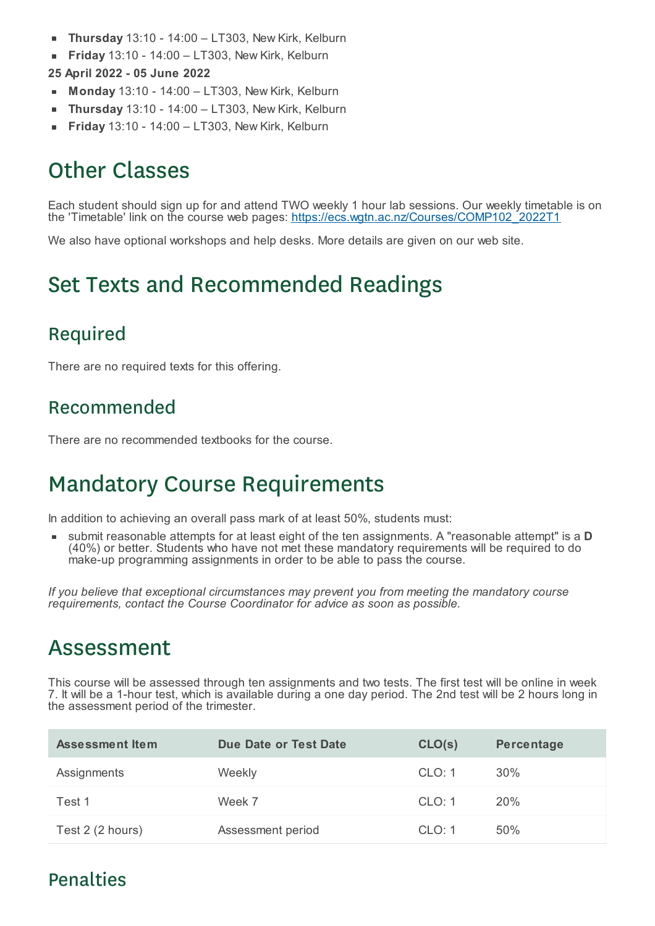- **Thursday** 13:10 14:00 LT303, New Kirk, Kelburn п
- **Friday** 13:10 14:00 LT303, New Kirk, Kelburn  $\blacksquare$
- **25 April 2022 - 05 June 2022**
- **Monday** 13:10 14:00 LT303, New Kirk, Kelburn
- **Thursday** 13:10 14:00 LT303, New Kirk, Kelburn ×
- **Friday** 13:10 14:00 LT303, New Kirk, Kelburn

# Other Classes

Each student should sign up for and attend TWO weekly 1 hour lab sessions. Our weekly timetable is on the 'Timetable' link on the course web pages: https://ecs.wgtn.ac.nz/Courses/COMP102\_2022T1

We also have optional workshops and help desks. More details are given on our web site.

### Set Texts and Recommended Readings

#### Required

There are no required texts for this offering.

#### Recommended

There are no recommended textbooks for the course.

# Mandatory Course Requirements

In addition to achieving an overall pass mark of at least 50%, students must:

submit reasonable attempts for at least eight of the ten assignments. A "reasonable attempt" is a **D** (40%) or better. Students who have not met these mandatory requirements will be required to do make-up programming assignments in order to be able to pass the course.

*If you believe that exceptional circumstances may prevent you from meeting the mandatory course requirements, contact the Course Coordinator for advice as soon as possible.*

### Assessment

This course will be assessed through ten assignments and two tests. The first test will be online in week 7. It will be a 1-hour test, which is available during a one day period. The 2nd test will be 2 hours long in the assessment period of the trimester.

| <b>Assessment Item</b> | Due Date or Test Date | CLO(s) | Percentage |
|------------------------|-----------------------|--------|------------|
| Assignments            | Weekly                | CLO: 1 | $30\%$     |
| Test 1                 | Week 7                | CLO: 1 | 20%        |
| Test 2 (2 hours)       | Assessment period     | CLO: 1 | 50%        |

#### Penalties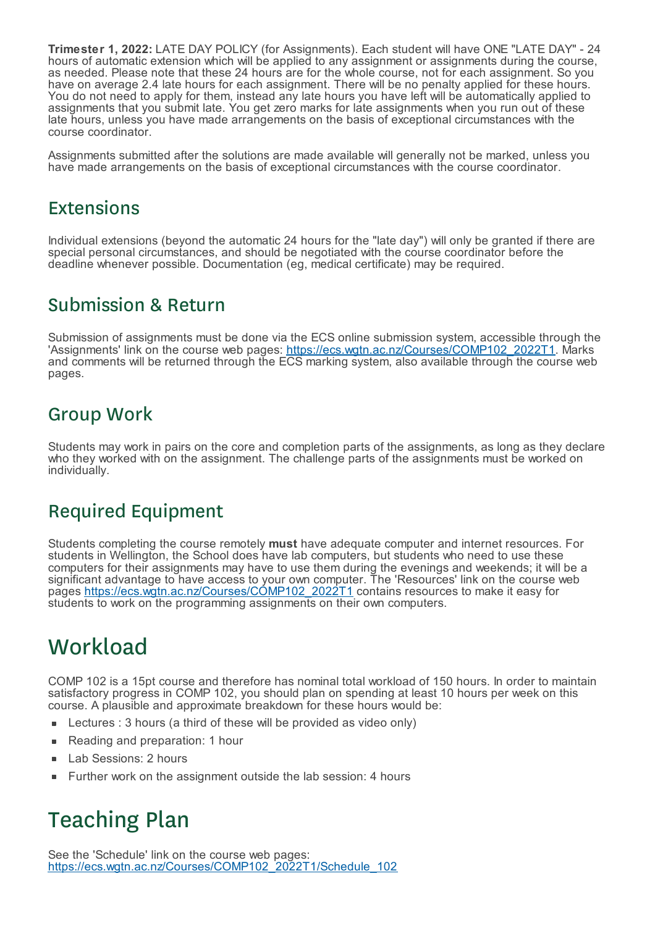**Trimester 1, 2022:** LATE DAY POLICY (for Assignments). Each student will have ONE "LATE DAY" - 24 hours of automatic extension which will be applied to any assignment or assignments during the course, as needed. Please note that these 24 hours are for the whole course, not for each assignment. So you have on average 2.4 late hours for each assignment. There will be no penalty applied for these hours. You do not need to apply for them, instead any late hours you have left will be automatically applied to assignments that you submit late. You get zero marks for late assignments when you run out of these late hours, unless you have made arrangements on the basis of exceptional circumstances with the course coordinator.

Assignments submitted after the solutions are made available will generally not be marked, unless you have made arrangements on the basis of exceptional circumstances with the course coordinator.

#### Extensions

Individual extensions (beyond the automatic 24 hours for the "late day") will only be granted if there are special personal circumstances, and should be negotiated with the course coordinator before the deadline whenever possible. Documentation (eg, medical certificate) may be required.

#### Submission & Return

Submission of assignments must be done via the ECS online submission system, accessible through the 'Assignments' link on the course web pages: https://ecs.wgtn.ac.nz/Courses/COMP102\_2022T1. Marks and comments will be returned through the ECS marking system, also available through the course web pages.

#### Group Work

Students may work in pairs on the core and completion parts of the assignments, as long as they declare who they worked with on the assignment. The challenge parts of the assignments must be worked on individually.

#### Required Equipment

Students completing the course remotely **must** have adequate computer and internet resources. For students in Wellington, the School does have lab computers, but students who need to use these computers for their assignments may have to use them during the evenings and weekends; it will be a significant advantage to have access to your own computer. The 'Resources' link on the course web pages https://ecs.wgtn.ac.nz/Courses/COMP102\_2022T1 contains resources to make it easy for students to work on the programming assignments on their own computers.

### **Workload**

COMP 102 is a 15pt course and therefore has nominal total workload of 150 hours. In order to maintain satisfactory progress in COMP 102, you should plan on spending at least 10 hours per week on this course. A plausible and approximate breakdown for these hours would be:

- Lectures : 3 hours (a third of these will be provided as video only)
- Reading and preparation: 1 hour
- Lab Sessions: 2 hours  $\blacksquare$
- Further work on the assignment outside the lab session: 4 hours

# Teaching Plan

See the 'Schedule' link on the course web pages: https://ecs.wgtn.ac.nz/Courses/COMP102\_2022T1/Schedule\_102